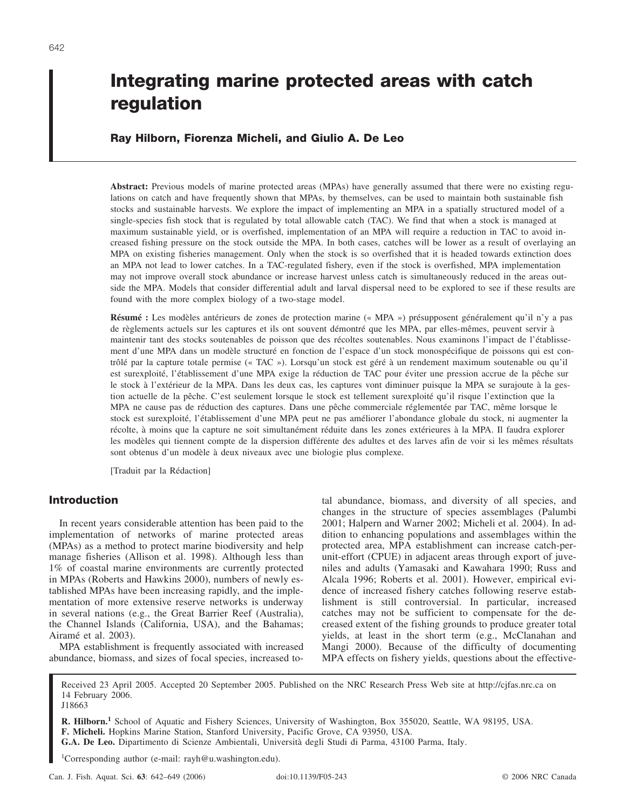# **Integrating marine protected areas with catch regulation**

# **Ray Hilborn, Fiorenza Micheli, and Giulio A. De Leo**

**Abstract:** Previous models of marine protected areas (MPAs) have generally assumed that there were no existing regulations on catch and have frequently shown that MPAs, by themselves, can be used to maintain both sustainable fish stocks and sustainable harvests. We explore the impact of implementing an MPA in a spatially structured model of a single-species fish stock that is regulated by total allowable catch (TAC). We find that when a stock is managed at maximum sustainable yield, or is overfished, implementation of an MPA will require a reduction in TAC to avoid increased fishing pressure on the stock outside the MPA. In both cases, catches will be lower as a result of overlaying an MPA on existing fisheries management. Only when the stock is so overfished that it is headed towards extinction does an MPA not lead to lower catches. In a TAC-regulated fishery, even if the stock is overfished, MPA implementation may not improve overall stock abundance or increase harvest unless catch is simultaneously reduced in the areas outside the MPA. Models that consider differential adult and larval dispersal need to be explored to see if these results are found with the more complex biology of a two-stage model.

**Résumé :** Les modèles antérieurs de zones de protection marine (« MPA ») présupposent généralement qu'il n'y a pas de règlements actuels sur les captures et ils ont souvent démontré que les MPA, par elles-mêmes, peuvent servir à maintenir tant des stocks soutenables de poisson que des récoltes soutenables. Nous examinons l'impact de l'établissement d'une MPA dans un modèle structuré en fonction de l'espace d'un stock monospécifique de poissons qui est contrôlé par la capture totale permise (« TAC »). Lorsqu'un stock est géré à un rendement maximum soutenable ou qu'il est surexploité, l'établissement d'une MPA exige la réduction de TAC pour éviter une pression accrue de la pêche sur le stock à l'extérieur de la MPA. Dans les deux cas, les captures vont diminuer puisque la MPA se surajoute à la gestion actuelle de la pêche. C'est seulement lorsque le stock est tellement surexploité qu'il risque l'extinction que la MPA ne cause pas de réduction des captures. Dans une pêche commerciale réglementée par TAC, même lorsque le stock est surexploité, l'établissement d'une MPA peut ne pas améliorer l'abondance globale du stock, ni augmenter la récolte, à moins que la capture ne soit simultanément réduite dans les zones extérieures à la MPA. Il faudra explorer les modèles qui tiennent compte de la dispersion différente des adultes et des larves afin de voir si les mêmes résultats sont obtenus d'un modèle à deux niveaux avec une biologie plus complexe.

[Traduit par la Rédaction]

## **Introduction**

In recent years considerable attention has been paid to the implementation of networks of marine protected areas (MPAs) as a method to protect marine biodiversity and help manage fisheries (Allison et al. 1998). Although less than 1% of coastal marine environments are currently protected in MPAs (Roberts and Hawkins 2000), numbers of newly established MPAs have been increasing rapidly, and the implementation of more extensive reserve networks is underway in several nations (e.g., the Great Barrier Reef (Australia), the Channel Islands (California, USA), and the Bahamas; Airamé et al. 2003).

MPA establishment is frequently associated with increased abundance, biomass, and sizes of focal species, increased total abundance, biomass, and diversity of all species, and changes in the structure of species assemblages (Palumbi 2001; Halpern and Warner 2002; Micheli et al. 2004). In addition to enhancing populations and assemblages within the protected area, MPA establishment can increase catch-perunit-effort (CPUE) in adjacent areas through export of juveniles and adults (Yamasaki and Kawahara 1990; Russ and Alcala 1996; Roberts et al. 2001). However, empirical evidence of increased fishery catches following reserve establishment is still controversial. In particular, increased catches may not be sufficient to compensate for the decreased extent of the fishing grounds to produce greater total yields, at least in the short term (e.g., McClanahan and Mangi 2000). Because of the difficulty of documenting MPA effects on fishery yields, questions about the effective-

Received 23 April 2005. Accepted 20 September 2005. Published on the NRC Research Press Web site at http://cjfas.nrc.ca on 14 February 2006. J18663

**R. Hilborn.<sup>1</sup>** School of Aquatic and Fishery Sciences, University of Washington, Box 355020, Seattle, WA 98195, USA. **F. Micheli.** Hopkins Marine Station, Stanford University, Pacific Grove, CA 93950, USA. **G.A. De Leo.** Dipartimento di Scienze Ambientali, Università degli Studi di Parma, 43100 Parma, Italy.

1 Corresponding author (e-mail: rayh@u.washington.edu).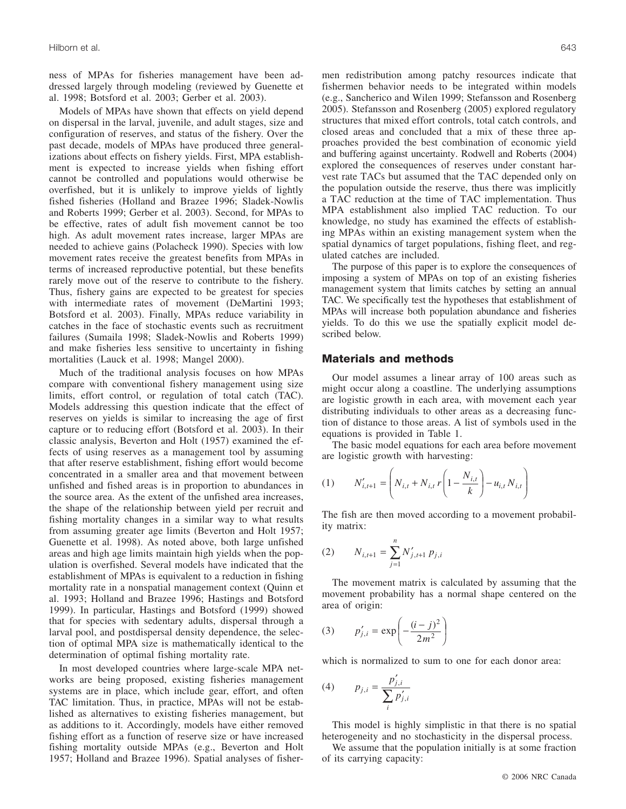ness of MPAs for fisheries management have been addressed largely through modeling (reviewed by Guenette et al. 1998; Botsford et al. 2003; Gerber et al. 2003).

Models of MPAs have shown that effects on yield depend on dispersal in the larval, juvenile, and adult stages, size and configuration of reserves, and status of the fishery. Over the past decade, models of MPAs have produced three generalizations about effects on fishery yields. First, MPA establishment is expected to increase yields when fishing effort cannot be controlled and populations would otherwise be overfished, but it is unlikely to improve yields of lightly fished fisheries (Holland and Brazee 1996; Sladek-Nowlis and Roberts 1999; Gerber et al. 2003). Second, for MPAs to be effective, rates of adult fish movement cannot be too high. As adult movement rates increase, larger MPAs are needed to achieve gains (Polacheck 1990). Species with low movement rates receive the greatest benefits from MPAs in terms of increased reproductive potential, but these benefits rarely move out of the reserve to contribute to the fishery. Thus, fishery gains are expected to be greatest for species with intermediate rates of movement (DeMartini 1993; Botsford et al. 2003). Finally, MPAs reduce variability in catches in the face of stochastic events such as recruitment failures (Sumaila 1998; Sladek-Nowlis and Roberts 1999) and make fisheries less sensitive to uncertainty in fishing mortalities (Lauck et al. 1998; Mangel 2000).

Much of the traditional analysis focuses on how MPAs compare with conventional fishery management using size limits, effort control, or regulation of total catch (TAC). Models addressing this question indicate that the effect of reserves on yields is similar to increasing the age of first capture or to reducing effort (Botsford et al. 2003). In their classic analysis, Beverton and Holt (1957) examined the effects of using reserves as a management tool by assuming that after reserve establishment, fishing effort would become concentrated in a smaller area and that movement between unfished and fished areas is in proportion to abundances in the source area. As the extent of the unfished area increases, the shape of the relationship between yield per recruit and fishing mortality changes in a similar way to what results from assuming greater age limits (Beverton and Holt 1957; Guenette et al. 1998). As noted above, both large unfished areas and high age limits maintain high yields when the population is overfished. Several models have indicated that the establishment of MPAs is equivalent to a reduction in fishing mortality rate in a nonspatial management context (Quinn et al. 1993; Holland and Brazee 1996; Hastings and Botsford 1999). In particular, Hastings and Botsford (1999) showed that for species with sedentary adults, dispersal through a larval pool, and postdispersal density dependence, the selection of optimal MPA size is mathematically identical to the determination of optimal fishing mortality rate.

In most developed countries where large-scale MPA networks are being proposed, existing fisheries management systems are in place, which include gear, effort, and often TAC limitation. Thus, in practice, MPAs will not be established as alternatives to existing fisheries management, but as additions to it. Accordingly, models have either removed fishing effort as a function of reserve size or have increased fishing mortality outside MPAs (e.g., Beverton and Holt 1957; Holland and Brazee 1996). Spatial analyses of fishermen redistribution among patchy resources indicate that fishermen behavior needs to be integrated within models (e.g., Sancherico and Wilen 1999; Stefansson and Rosenberg 2005). Stefansson and Rosenberg (2005) explored regulatory structures that mixed effort controls, total catch controls, and closed areas and concluded that a mix of these three approaches provided the best combination of economic yield and buffering against uncertainty. Rodwell and Roberts (2004) explored the consequences of reserves under constant harvest rate TACs but assumed that the TAC depended only on the population outside the reserve, thus there was implicitly a TAC reduction at the time of TAC implementation. Thus MPA establishment also implied TAC reduction. To our knowledge, no study has examined the effects of establishing MPAs within an existing management system when the spatial dynamics of target populations, fishing fleet, and regulated catches are included.

The purpose of this paper is to explore the consequences of imposing a system of MPAs on top of an existing fisheries management system that limits catches by setting an annual TAC. We specifically test the hypotheses that establishment of MPAs will increase both population abundance and fisheries yields. To do this we use the spatially explicit model described below.

## **Materials and methods**

Our model assumes a linear array of 100 areas such as might occur along a coastline. The underlying assumptions are logistic growth in each area, with movement each year distributing individuals to other areas as a decreasing function of distance to those areas. A list of symbols used in the equations is provided in Table 1.

The basic model equations for each area before movement are logistic growth with harvesting:

$$
(1) \qquad N'_{i,t+1} = \left( N_{i,t} + N_{i,t} r \left( 1 - \frac{N_{i,t}}{k} \right) - u_{i,t} N_{i,t} \right)
$$

The fish are then moved according to a movement probability matrix:

(2) 
$$
N_{i,t+1} = \sum_{j=1}^{n} N'_{j,t+1} p_{j,i}
$$

The movement matrix is calculated by assuming that the movement probability has a normal shape centered on the area of origin:

(3) 
$$
p'_{j,i} = \exp\left(-\frac{(i-j)^2}{2m^2}\right)
$$

which is normalized to sum to one for each donor area:

(4) 
$$
p_{j,i} = \frac{p'_{j,i}}{\sum_{i} p'_{j,i}}
$$

This model is highly simplistic in that there is no spatial heterogeneity and no stochasticity in the dispersal process.

We assume that the population initially is at some fraction of its carrying capacity: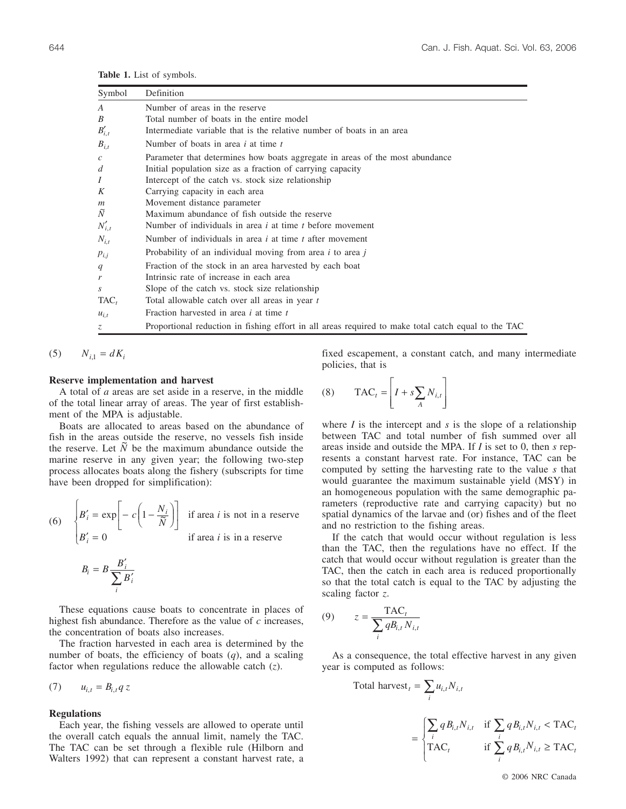| Symbol           | Definition                                                                                          |
|------------------|-----------------------------------------------------------------------------------------------------|
| $\overline{A}$   | Number of areas in the reserve                                                                      |
| B                | Total number of boats in the entire model                                                           |
| $B'_{i,t}$       | Intermediate variable that is the relative number of boats in an area                               |
| $B_{i,t}$        | Number of boats in area $i$ at time $t$                                                             |
| $\mathcal{C}$    | Parameter that determines how boats aggregate in areas of the most abundance                        |
| $\overline{d}$   | Initial population size as a fraction of carrying capacity                                          |
| $\boldsymbol{I}$ | Intercept of the catch vs. stock size relationship                                                  |
| K                | Carrying capacity in each area                                                                      |
| $\boldsymbol{m}$ | Movement distance parameter                                                                         |
| $\widetilde{N}$  | Maximum abundance of fish outside the reserve                                                       |
| $N'_{i,t}$       | Number of individuals in area $i$ at time $t$ before movement                                       |
| $N_{i,t}$        | Number of individuals in area $i$ at time $t$ after movement                                        |
| $p_{i,j}$        | Probability of an individual moving from area $i$ to area $j$                                       |
| q                | Fraction of the stock in an area harvested by each boat                                             |
| r                | Intrinsic rate of increase in each area                                                             |
| S                | Slope of the catch vs. stock size relationship                                                      |
| TAC,             | Total allowable catch over all areas in year $t$                                                    |
| $u_{i,t}$        | Fraction harvested in area $i$ at time $t$                                                          |
| Z.               | Proportional reduction in fishing effort in all areas required to make total catch equal to the TAC |

**Table 1.** List of symbols.

$$
(5) \qquad N_{i,1} = dK_i
$$

## **Reserve implementation and harvest**

A total of *a* areas are set aside in a reserve, in the middle of the total linear array of areas. The year of first establishment of the MPA is adjustable.

Boats are allocated to areas based on the abundance of fish in the areas outside the reserve, no vessels fish inside the reserve. Let  $\tilde{N}$  be the maximum abundance outside the marine reserve in any given year; the following two-step process allocates boats along the fishery (subscripts for time have been dropped for simplification):

(6) 
$$
\begin{cases} B'_{i} = \exp \left[ -c \left( 1 - \frac{N_{i}}{\tilde{N}} \right) \right] & \text{if area } i \text{ is not in a reserve} \\ B'_{i} = 0 & \text{if area } i \text{ is in a reserve} \end{cases}
$$

$$
B_i = B \frac{B'_i}{\sum_i B'_i}
$$

These equations cause boats to concentrate in places of highest fish abundance. Therefore as the value of *c* increases, the concentration of boats also increases.

The fraction harvested in each area is determined by the number of boats, the efficiency of boats (*q*), and a scaling factor when regulations reduce the allowable catch (*z*).

$$
(7) \qquad u_{i,t} = B_{i,t} q z
$$

## **Regulations**

Each year, the fishing vessels are allowed to operate until the overall catch equals the annual limit, namely the TAC. The TAC can be set through a flexible rule (Hilborn and Walters 1992) that can represent a constant harvest rate, a fixed escapement, a constant catch, and many intermediate policies, that is

$$
(8) \qquad \text{TAC}_t = \left[ I + s \sum_A N_{i,t} \right]
$$

where  $I$  is the intercept and  $s$  is the slope of a relationship between TAC and total number of fish summed over all areas inside and outside the MPA. If *I* is set to 0, then *s* represents a constant harvest rate. For instance, TAC can be computed by setting the harvesting rate to the value *s* that would guarantee the maximum sustainable yield (MSY) in an homogeneous population with the same demographic parameters (reproductive rate and carrying capacity) but no spatial dynamics of the larvae and (or) fishes and of the fleet and no restriction to the fishing areas.

If the catch that would occur without regulation is less than the TAC, then the regulations have no effect. If the catch that would occur without regulation is greater than the TAC, then the catch in each area is reduced proportionally so that the total catch is equal to the TAC by adjusting the scaling factor *z*.

$$
(9) \qquad z = \frac{\text{TAC}_{t}}{\sum_{i} qB_{i,t}N_{i,t}}
$$

Total

As a consequence, the total effective harvest in any given year is computed as follows:

harvest<sub>t</sub> = 
$$
\sum_{i} u_{i,t} N_{i,t}
$$
  
\n= 
$$
\begin{cases}\n\sum_{i} q B_{i,t} N_{i,t} & \text{if } \sum_{i} q B_{i,t} N_{i,t} < \text{TAC}_t \\
\text{TAC}_t & \text{if } \sum_{i} q B_{i,t} N_{i,t} \geq \text{TAC}_t\n\end{cases}
$$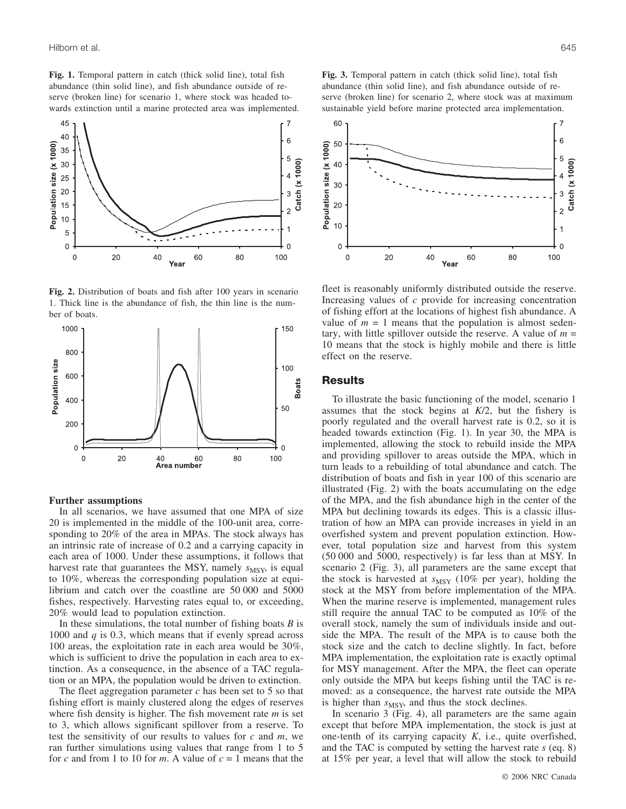**Fig. 1.** Temporal pattern in catch (thick solid line), total fish abundance (thin solid line), and fish abundance outside of reserve (broken line) for scenario 1, where stock was headed towards extinction until a marine protected area was implemented.



**Fig. 2.** Distribution of boats and fish after 100 years in scenario 1. Thick line is the abundance of fish, the thin line is the number of boats.



#### **Further assumptions**

In all scenarios, we have assumed that one MPA of size 20 is implemented in the middle of the 100-unit area, corresponding to 20% of the area in MPAs. The stock always has an intrinsic rate of increase of 0.2 and a carrying capacity in each area of 1000. Under these assumptions, it follows that harvest rate that guarantees the MSY, namely  $s_{MSV}$ , is equal to 10%, whereas the corresponding population size at equilibrium and catch over the coastline are 50 000 and 5000 fishes, respectively. Harvesting rates equal to, or exceeding, 20% would lead to population extinction.

In these simulations, the total number of fishing boats *B* is 1000 and *q* is 0.3, which means that if evenly spread across 100 areas, the exploitation rate in each area would be 30%, which is sufficient to drive the population in each area to extinction. As a consequence, in the absence of a TAC regulation or an MPA, the population would be driven to extinction.

The fleet aggregation parameter *c* has been set to 5 so that fishing effort is mainly clustered along the edges of reserves where fish density is higher. The fish movement rate *m* is set to 3, which allows significant spillover from a reserve. To test the sensitivity of our results to values for *c* and *m*, we ran further simulations using values that range from 1 to 5 for *c* and from 1 to 10 for *m*. A value of  $c = 1$  means that the

**Fig. 3.** Temporal pattern in catch (thick solid line), total fish abundance (thin solid line), and fish abundance outside of reserve (broken line) for scenario 2, where stock was at maximum sustainable yield before marine protected area implementation.



fleet is reasonably uniformly distributed outside the reserve. Increasing values of *c* provide for increasing concentration of fishing effort at the locations of highest fish abundance. A value of  $m = 1$  means that the population is almost sedentary, with little spillover outside the reserve. A value of  $m =$ 10 means that the stock is highly mobile and there is little effect on the reserve.

## **Results**

To illustrate the basic functioning of the model, scenario 1 assumes that the stock begins at *K*/2, but the fishery is poorly regulated and the overall harvest rate is 0.2, so it is headed towards extinction (Fig. 1). In year 30, the MPA is implemented, allowing the stock to rebuild inside the MPA and providing spillover to areas outside the MPA, which in turn leads to a rebuilding of total abundance and catch. The distribution of boats and fish in year 100 of this scenario are illustrated (Fig. 2) with the boats accumulating on the edge of the MPA, and the fish abundance high in the center of the MPA but declining towards its edges. This is a classic illustration of how an MPA can provide increases in yield in an overfished system and prevent population extinction. However, total population size and harvest from this system (50 000 and 5000, respectively) is far less than at MSY. In scenario 2 (Fig. 3), all parameters are the same except that the stock is harvested at  $s_{\text{MSY}}$  (10% per year), holding the stock at the MSY from before implementation of the MPA. When the marine reserve is implemented, management rules still require the annual TAC to be computed as 10% of the overall stock, namely the sum of individuals inside and outside the MPA. The result of the MPA is to cause both the stock size and the catch to decline slightly. In fact, before MPA implementation, the exploitation rate is exactly optimal for MSY management. After the MPA, the fleet can operate only outside the MPA but keeps fishing until the TAC is removed: as a consequence, the harvest rate outside the MPA is higher than  $s_{MSV}$ , and thus the stock declines.

In scenario 3 (Fig. 4), all parameters are the same again except that before MPA implementation, the stock is just at one-tenth of its carrying capacity *K*, i.e., quite overfished, and the TAC is computed by setting the harvest rate *s* (eq. 8) at 15% per year, a level that will allow the stock to rebuild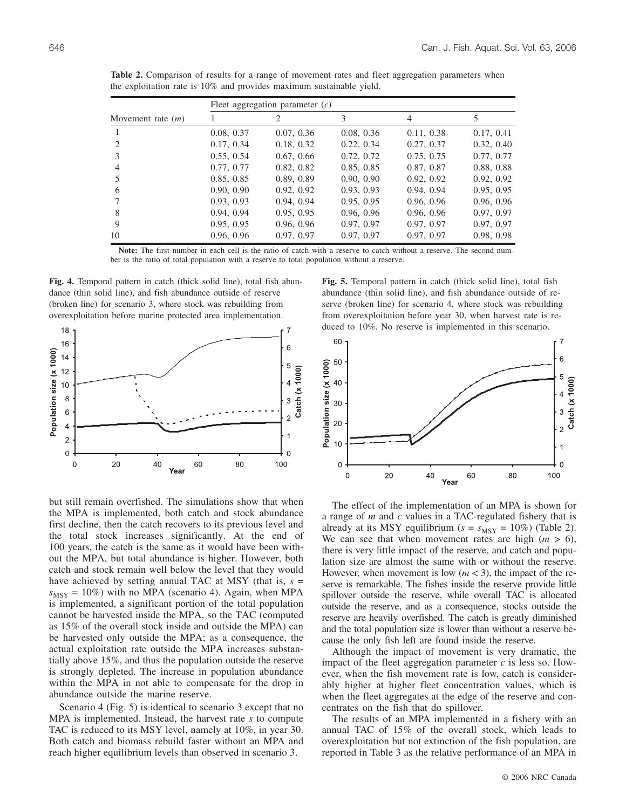|                     | Fleet aggregation parameter $(c)$ |            |            |                |            |  |
|---------------------|-----------------------------------|------------|------------|----------------|------------|--|
| Movement rate $(m)$ |                                   | 2          | 3          | $\overline{4}$ | 5          |  |
|                     | 0.08, 0.37                        | 0.07, 0.36 | 0.08, 0.36 | 0.11, 0.38     | 0.17, 0.41 |  |
| $\mathcal{L}$       | 0.17, 0.34                        | 0.18, 0.32 | 0.22, 0.34 | 0.27, 0.37     | 0.32, 0.40 |  |
| 3                   | 0.55, 0.54                        | 0.67, 0.66 | 0.72, 0.72 | 0.75, 0.75     | 0.77, 0.77 |  |
| $\overline{4}$      | 0.77, 0.77                        | 0.82, 0.82 | 0.85, 0.85 | 0.87, 0.87     | 0.88, 0.88 |  |
|                     | 0.85, 0.85                        | 0.89, 0.89 | 0.90, 0.90 | 0.92, 0.92     | 0.92, 0.92 |  |
| 6                   | 0.90, 0.90                        | 0.92, 0.92 | 0.93, 0.93 | 0.94, 0.94     | 0.95, 0.95 |  |
|                     | 0.93, 0.93                        | 0.94, 0.94 | 0.95, 0.95 | 0.96, 0.96     | 0.96, 0.96 |  |
| 8                   | 0.94, 0.94                        | 0.95, 0.95 | 0.96, 0.96 | 0.96, 0.96     | 0.97, 0.97 |  |
| 9                   | 0.95, 0.95                        | 0.96, 0.96 | 0.97, 0.97 | 0.97, 0.97     | 0.97, 0.97 |  |
| 10                  | 0.96, 0.96                        | 0.97, 0.97 | 0.97, 0.97 | 0.97, 0.97     | 0.98, 0.98 |  |

**Table 2.** Comparison of results for a range of movement rates and fleet aggregation parameters when the exploitation rate is 10% and provides maximum sustainable yield.

**Note:** The first number in each cell is the ratio of catch with a reserve to catch without a reserve. The second number is the ratio of total population with a reserve to total population without a reserve.

**Fig. 4.** Temporal pattern in catch (thick solid line), total fish abundance (thin solid line), and fish abundance outside of reserve (broken line) for scenario 3, where stock was rebuilding from overexploitation before marine protected area implementation.



but still remain overfished. The simulations show that when the MPA is implemented, both catch and stock abundance first decline, then the catch recovers to its previous level and the total stock increases significantly. At the end of 100 years, the catch is the same as it would have been without the MPA, but total abundance is higher. However, both catch and stock remain well below the level that they would have achieved by setting annual TAC at MSY (that is, *s* =  $s_{MSY} = 10\%$ ) with no MPA (scenario 4). Again, when MPA is implemented, a significant portion of the total population cannot be harvested inside the MPA, so the TAC (computed as 15% of the overall stock inside and outside the MPA) can be harvested only outside the MPA; as a consequence, the actual exploitation rate outside the MPA increases substantially above 15%, and thus the population outside the reserve is strongly depleted. The increase in population abundance within the MPA in not able to compensate for the drop in abundance outside the marine reserve.

Scenario 4 (Fig. 5) is identical to scenario 3 except that no MPA is implemented. Instead, the harvest rate *s* to compute TAC is reduced to its MSY level, namely at 10%, in year 30. Both catch and biomass rebuild faster without an MPA and reach higher equilibrium levels than observed in scenario 3.

**Fig. 5.** Temporal pattern in catch (thick solid line), total fish abundance (thin solid line), and fish abundance outside of reserve (broken line) for scenario 4, where stock was rebuilding from overexploitation before year 30, when harvest rate is reduced to 10%. No reserve is implemented in this scenario.



The effect of the implementation of an MPA is shown for a range of *m* and *c* values in a TAC-regulated fishery that is already at its MSY equilibrium ( $s = s_{MSY} = 10\%$ ) (Table 2). We can see that when movement rates are high  $(m > 6)$ , there is very little impact of the reserve, and catch and population size are almost the same with or without the reserve. However, when movement is low  $(m < 3)$ , the impact of the reserve is remarkable. The fishes inside the reserve provide little spillover outside the reserve, while overall TAC is allocated outside the reserve, and as a consequence, stocks outside the reserve are heavily overfished. The catch is greatly diminished and the total population size is lower than without a reserve because the only fish left are found inside the reserve.

Although the impact of movement is very dramatic, the impact of the fleet aggregation parameter *c* is less so. However, when the fish movement rate is low, catch is considerably higher at higher fleet concentration values, which is when the fleet aggregates at the edge of the reserve and concentrates on the fish that do spillover.

The results of an MPA implemented in a fishery with an annual TAC of 15% of the overall stock, which leads to overexploitation but not extinction of the fish population, are reported in Table 3 as the relative performance of an MPA in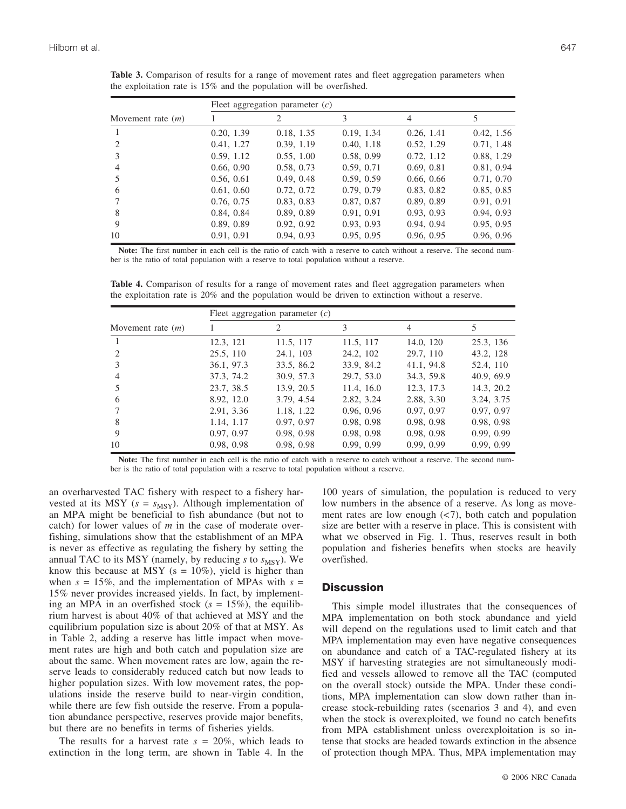|                     | Fleet aggregation parameter $(c)$ |                               |            |                |            |  |
|---------------------|-----------------------------------|-------------------------------|------------|----------------|------------|--|
| Movement rate $(m)$ |                                   | $\mathfrak{D}_{\mathfrak{p}}$ | 3          | $\overline{4}$ | 5.         |  |
|                     | 0.20, 1.39                        | 0.18, 1.35                    | 0.19, 1.34 | 0.26, 1.41     | 0.42, 1.56 |  |
| $\mathcal{L}$       | 0.41, 1.27                        | 0.39, 1.19                    | 0.40, 1.18 | 0.52, 1.29     | 0.71, 1.48 |  |
| 3                   | 0.59, 1.12                        | 0.55, 1.00                    | 0.58, 0.99 | 0.72, 1.12     | 0.88, 1.29 |  |
| $\overline{4}$      | 0.66, 0.90                        | 0.58, 0.73                    | 0.59, 0.71 | 0.69, 0.81     | 0.81, 0.94 |  |
|                     | 0.56, 0.61                        | 0.49, 0.48                    | 0.59, 0.59 | 0.66, 0.66     | 0.71, 0.70 |  |
| 6                   | 0.61, 0.60                        | 0.72, 0.72                    | 0.79, 0.79 | 0.83, 0.82     | 0.85, 0.85 |  |
|                     | 0.76, 0.75                        | 0.83, 0.83                    | 0.87, 0.87 | 0.89, 0.89     | 0.91, 0.91 |  |
| 8                   | 0.84, 0.84                        | 0.89, 0.89                    | 0.91, 0.91 | 0.93, 0.93     | 0.94, 0.93 |  |
| 9                   | 0.89, 0.89                        | 0.92, 0.92                    | 0.93, 0.93 | 0.94, 0.94     | 0.95, 0.95 |  |
| 10                  | 0.91, 0.91                        | 0.94, 0.93                    | 0.95, 0.95 | 0.96, 0.95     | 0.96, 0.96 |  |

**Table 3.** Comparison of results for a range of movement rates and fleet aggregation parameters when the exploitation rate is 15% and the population will be overfished.

**Note:** The first number in each cell is the ratio of catch with a reserve to catch without a reserve. The second number is the ratio of total population with a reserve to total population without a reserve.

|                     | Fleet aggregation parameter $(c)$ |            |            |            |            |  |
|---------------------|-----------------------------------|------------|------------|------------|------------|--|
| Movement rate $(m)$ |                                   | 2          | 3          | 4          |            |  |
|                     | 12.3, 121                         | 11.5, 117  | 11.5, 117  | 14.0, 120  | 25.3, 136  |  |
|                     | 25.5, 110                         | 24.1, 103  | 24.2, 102  | 29.7, 110  | 43.2, 128  |  |
|                     | 36.1, 97.3                        | 33.5, 86.2 | 33.9, 84.2 | 41.1, 94.8 | 52.4, 110  |  |
| $\overline{4}$      | 37.3, 74.2                        | 30.9, 57.3 | 29.7, 53.0 | 34.3, 59.8 | 40.9, 69.9 |  |
|                     | 23.7, 38.5                        | 13.9, 20.5 | 11.4, 16.0 | 12.3, 17.3 | 14.3, 20.2 |  |
| 6                   | 8.92, 12.0                        | 3.79, 4.54 | 2.82, 3.24 | 2.88, 3.30 | 3.24, 3.75 |  |
|                     | 2.91, 3.36                        | 1.18, 1.22 | 0.96, 0.96 | 0.97, 0.97 | 0.97, 0.97 |  |
| 8                   | 1.14, 1.17                        | 0.97, 0.97 | 0.98, 0.98 | 0.98, 0.98 | 0.98, 0.98 |  |
| 9                   | 0.97, 0.97                        | 0.98, 0.98 | 0.98, 0.98 | 0.98, 0.98 | 0.99, 0.99 |  |
| 10                  | 0.98, 0.98                        | 0.98, 0.98 | 0.99, 0.99 | 0.99, 0.99 | 0.99, 0.99 |  |

**Table 4.** Comparison of results for a range of movement rates and fleet aggregation parameters when the exploitation rate is 20% and the population would be driven to extinction without a reserve.

**Note:** The first number in each cell is the ratio of catch with a reserve to catch without a reserve. The second number is the ratio of total population with a reserve to total population without a reserve.

an overharvested TAC fishery with respect to a fishery harvested at its MSY ( $s = s_{MSY}$ ). Although implementation of an MPA might be beneficial to fish abundance (but not to catch) for lower values of *m* in the case of moderate overfishing, simulations show that the establishment of an MPA is never as effective as regulating the fishery by setting the annual TAC to its MSY (namely, by reducing  $s$  to  $s_{MSY}$ ). We know this because at MSY ( $s = 10\%$ ), yield is higher than when  $s = 15\%$ , and the implementation of MPAs with  $s =$ 15% never provides increased yields. In fact, by implementing an MPA in an overfished stock  $(s = 15\%)$ , the equilibrium harvest is about 40% of that achieved at MSY and the equilibrium population size is about 20% of that at MSY. As in Table 2, adding a reserve has little impact when movement rates are high and both catch and population size are about the same. When movement rates are low, again the reserve leads to considerably reduced catch but now leads to higher population sizes. With low movement rates, the populations inside the reserve build to near-virgin condition, while there are few fish outside the reserve. From a population abundance perspective, reserves provide major benefits, but there are no benefits in terms of fisheries yields.

The results for a harvest rate  $s = 20\%$ , which leads to extinction in the long term, are shown in Table 4. In the

100 years of simulation, the population is reduced to very low numbers in the absence of a reserve. As long as movement rates are low enough  $\left(\frac{z}{z}\right)$ , both catch and population size are better with a reserve in place. This is consistent with what we observed in Fig. 1. Thus, reserves result in both population and fisheries benefits when stocks are heavily overfished.

## **Discussion**

This simple model illustrates that the consequences of MPA implementation on both stock abundance and yield will depend on the regulations used to limit catch and that MPA implementation may even have negative consequences on abundance and catch of a TAC-regulated fishery at its MSY if harvesting strategies are not simultaneously modified and vessels allowed to remove all the TAC (computed on the overall stock) outside the MPA. Under these conditions, MPA implementation can slow down rather than increase stock-rebuilding rates (scenarios 3 and 4), and even when the stock is overexploited, we found no catch benefits from MPA establishment unless overexploitation is so intense that stocks are headed towards extinction in the absence of protection though MPA. Thus, MPA implementation may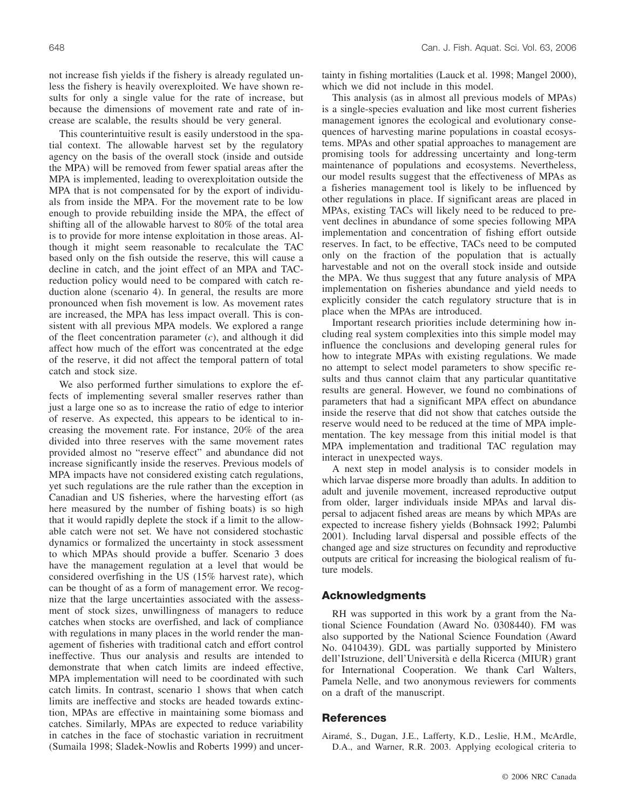not increase fish yields if the fishery is already regulated unless the fishery is heavily overexploited. We have shown results for only a single value for the rate of increase, but because the dimensions of movement rate and rate of increase are scalable, the results should be very general.

This counterintuitive result is easily understood in the spatial context. The allowable harvest set by the regulatory agency on the basis of the overall stock (inside and outside the MPA) will be removed from fewer spatial areas after the MPA is implemented, leading to overexploitation outside the MPA that is not compensated for by the export of individuals from inside the MPA. For the movement rate to be low enough to provide rebuilding inside the MPA, the effect of shifting all of the allowable harvest to 80% of the total area is to provide for more intense exploitation in those areas. Although it might seem reasonable to recalculate the TAC based only on the fish outside the reserve, this will cause a decline in catch, and the joint effect of an MPA and TACreduction policy would need to be compared with catch reduction alone (scenario 4). In general, the results are more pronounced when fish movement is low. As movement rates are increased, the MPA has less impact overall. This is consistent with all previous MPA models. We explored a range of the fleet concentration parameter (*c*), and although it did affect how much of the effort was concentrated at the edge of the reserve, it did not affect the temporal pattern of total catch and stock size.

We also performed further simulations to explore the effects of implementing several smaller reserves rather than just a large one so as to increase the ratio of edge to interior of reserve. As expected, this appears to be identical to increasing the movement rate. For instance, 20% of the area divided into three reserves with the same movement rates provided almost no "reserve effect" and abundance did not increase significantly inside the reserves. Previous models of MPA impacts have not considered existing catch regulations, yet such regulations are the rule rather than the exception in Canadian and US fisheries, where the harvesting effort (as here measured by the number of fishing boats) is so high that it would rapidly deplete the stock if a limit to the allowable catch were not set. We have not considered stochastic dynamics or formalized the uncertainty in stock assessment to which MPAs should provide a buffer. Scenario 3 does have the management regulation at a level that would be considered overfishing in the US (15% harvest rate), which can be thought of as a form of management error. We recognize that the large uncertainties associated with the assessment of stock sizes, unwillingness of managers to reduce catches when stocks are overfished, and lack of compliance with regulations in many places in the world render the management of fisheries with traditional catch and effort control ineffective. Thus our analysis and results are intended to demonstrate that when catch limits are indeed effective, MPA implementation will need to be coordinated with such catch limits. In contrast, scenario 1 shows that when catch limits are ineffective and stocks are headed towards extinction, MPAs are effective in maintaining some biomass and catches. Similarly, MPAs are expected to reduce variability in catches in the face of stochastic variation in recruitment (Sumaila 1998; Sladek-Nowlis and Roberts 1999) and uncertainty in fishing mortalities (Lauck et al. 1998; Mangel 2000), which we did not include in this model.

This analysis (as in almost all previous models of MPAs) is a single-species evaluation and like most current fisheries management ignores the ecological and evolutionary consequences of harvesting marine populations in coastal ecosystems. MPAs and other spatial approaches to management are promising tools for addressing uncertainty and long-term maintenance of populations and ecosystems. Nevertheless, our model results suggest that the effectiveness of MPAs as a fisheries management tool is likely to be influenced by other regulations in place. If significant areas are placed in MPAs, existing TACs will likely need to be reduced to prevent declines in abundance of some species following MPA implementation and concentration of fishing effort outside reserves. In fact, to be effective, TACs need to be computed only on the fraction of the population that is actually harvestable and not on the overall stock inside and outside the MPA. We thus suggest that any future analysis of MPA implementation on fisheries abundance and yield needs to explicitly consider the catch regulatory structure that is in place when the MPAs are introduced.

Important research priorities include determining how including real system complexities into this simple model may influence the conclusions and developing general rules for how to integrate MPAs with existing regulations. We made no attempt to select model parameters to show specific results and thus cannot claim that any particular quantitative results are general. However, we found no combinations of parameters that had a significant MPA effect on abundance inside the reserve that did not show that catches outside the reserve would need to be reduced at the time of MPA implementation. The key message from this initial model is that MPA implementation and traditional TAC regulation may interact in unexpected ways.

A next step in model analysis is to consider models in which larvae disperse more broadly than adults. In addition to adult and juvenile movement, increased reproductive output from older, larger individuals inside MPAs and larval dispersal to adjacent fished areas are means by which MPAs are expected to increase fishery yields (Bohnsack 1992; Palumbi 2001). Including larval dispersal and possible effects of the changed age and size structures on fecundity and reproductive outputs are critical for increasing the biological realism of future models.

### **Acknowledgments**

RH was supported in this work by a grant from the National Science Foundation (Award No. 0308440). FM was also supported by the National Science Foundation (Award No. 0410439). GDL was partially supported by Ministero dell'Istruzione, dell'Università e della Ricerca (MIUR) grant for International Cooperation. We thank Carl Walters, Pamela Nelle, and two anonymous reviewers for comments on a draft of the manuscript.

## **References**

Airamé, S., Dugan, J.E., Lafferty, K.D., Leslie, H.M., McArdle, D.A., and Warner, R.R. 2003. Applying ecological criteria to